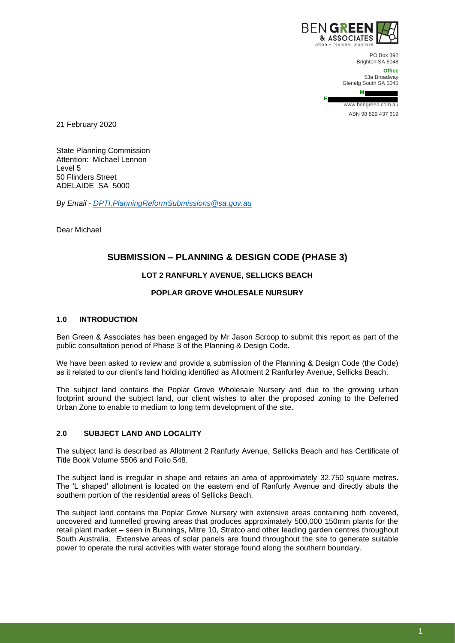

**E**

PO Box 392 Brighton SA 5048

**Office** 53a Broadway Glenelg South SA 5045

**M**

www.bengreen.com.au ABN 98 829 437 619

21 February 2020

State Planning Commission Attention: Michael Lennon Level 5 50 Flinders Street ADELAIDE SA 5000

*By Email - [DPTI.PlanningReformSubmissions@sa.gov.au](mailto:DPTI.PlanningReformSubmissions@sa.gov.au)*

Dear Michael

# **SUBMISSION – PLANNING & DESIGN CODE (PHASE 3)**

## **LOT 2 RANFURLY AVENUE, SELLICKS BEACH**

## **POPLAR GROVE WHOLESALE NURSURY**

#### **1.0 INTRODUCTION**

Ben Green & Associates has been engaged by Mr Jason Scroop to submit this report as part of the public consultation period of Phase 3 of the Planning & Design Code.

We have been asked to review and provide a submission of the Planning & Design Code (the Code) as it related to our client's land holding identified as Allotment 2 Ranfurley Avenue, Sellicks Beach.

The subject land contains the Poplar Grove Wholesale Nursery and due to the growing urban footprint around the subject land, our client wishes to alter the proposed zoning to the Deferred Urban Zone to enable to medium to long term development of the site.

## **2.0 SUBJECT LAND AND LOCALITY**

The subject land is described as Allotment 2 Ranfurly Avenue, Sellicks Beach and has Certificate of Title Book Volume 5506 and Folio 548.

The subject land is irregular in shape and retains an area of approximately 32,750 square metres. The 'L shaped' allotment is located on the eastern end of Ranfurly Avenue and directly abuts the southern portion of the residential areas of Sellicks Beach.

The subject land contains the Poplar Grove Nursery with extensive areas containing both covered, uncovered and tunnelled growing areas that produces approximately 500,000 150mm plants for the retail plant market – seen in Bunnings, Mitre 10, Stratco and other leading garden centres throughout South Australia. Extensive areas of solar panels are found throughout the site to generate suitable power to operate the rural activities with water storage found along the southern boundary.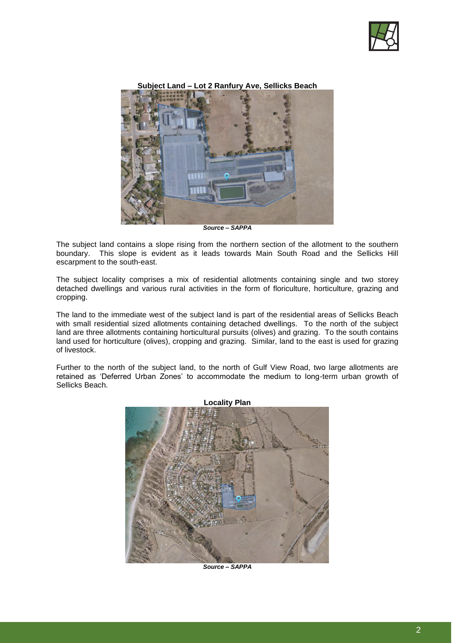

**Subject Land – Lot 2 Ranfury Ave, Sellicks Beach** 



*Source – SAPPA*

The subject land contains a slope rising from the northern section of the allotment to the southern boundary. This slope is evident as it leads towards Main South Road and the Sellicks Hill escarpment to the south-east.

The subject locality comprises a mix of residential allotments containing single and two storey detached dwellings and various rural activities in the form of floriculture, horticulture, grazing and cropping.

The land to the immediate west of the subject land is part of the residential areas of Sellicks Beach with small residential sized allotments containing detached dwellings. To the north of the subject land are three allotments containing horticultural pursuits (olives) and grazing. To the south contains land used for horticulture (olives), cropping and grazing. Similar, land to the east is used for grazing of livestock.

Further to the north of the subject land, to the north of Gulf View Road, two large allotments are retained as 'Deferred Urban Zones' to accommodate the medium to long-term urban growth of Sellicks Beach.



*Source – SAPPA*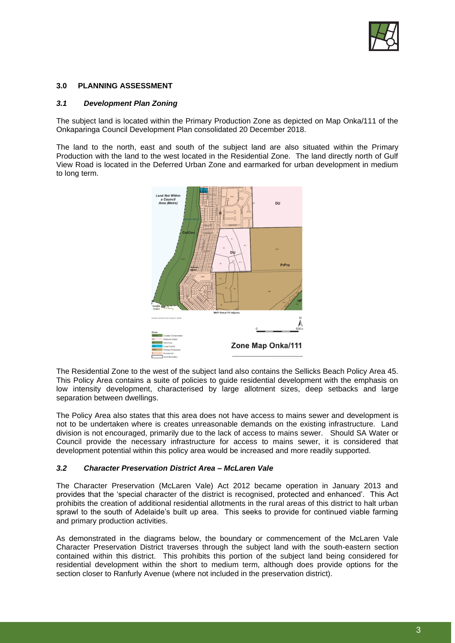

#### **3.0 PLANNING ASSESSMENT**

## *3.1 Development Plan Zoning*

The subject land is located within the Primary Production Zone as depicted on Map Onka/111 of the Onkaparinga Council Development Plan consolidated 20 December 2018.

The land to the north, east and south of the subject land are also situated within the Primary Production with the land to the west located in the Residential Zone. The land directly north of Gulf View Road is located in the Deferred Urban Zone and earmarked for urban development in medium to long term.



The Residential Zone to the west of the subject land also contains the Sellicks Beach Policy Area 45. This Policy Area contains a suite of policies to guide residential development with the emphasis on low intensity development, characterised by large allotment sizes, deep setbacks and large separation between dwellings.

The Policy Area also states that this area does not have access to mains sewer and development is not to be undertaken where is creates unreasonable demands on the existing infrastructure. Land division is not encouraged, primarily due to the lack of access to mains sewer. Should SA Water or Council provide the necessary infrastructure for access to mains sewer, it is considered that development potential within this policy area would be increased and more readily supported.

#### *3.2 Character Preservation District Area – McLaren Vale*

The Character Preservation (McLaren Vale) Act 2012 became operation in January 2013 and provides that the 'special character of the district is recognised, protected and enhanced'. This Act prohibits the creation of additional residential allotments in the rural areas of this district to halt urban sprawl to the south of Adelaide's built up area. This seeks to provide for continued viable farming and primary production activities.

As demonstrated in the diagrams below, the boundary or commencement of the McLaren Vale Character Preservation District traverses through the subject land with the south-eastern section contained within this district. This prohibits this portion of the subject land being considered for residential development within the short to medium term, although does provide options for the section closer to Ranfurly Avenue (where not included in the preservation district).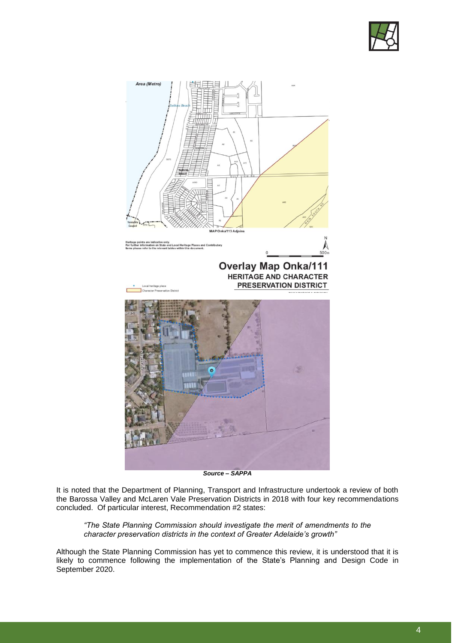



*Source – SAPPA*

It is noted that the Department of Planning, Transport and Infrastructure undertook a review of both the Barossa Valley and McLaren Vale Preservation Districts in 2018 with four key recommendations concluded. Of particular interest, Recommendation #2 states:

*"The State Planning Commission should investigate the merit of amendments to the character preservation districts in the context of Greater Adelaide's growth"*

Although the State Planning Commission has yet to commence this review, it is understood that it is likely to commence following the implementation of the State's Planning and Design Code in September 2020.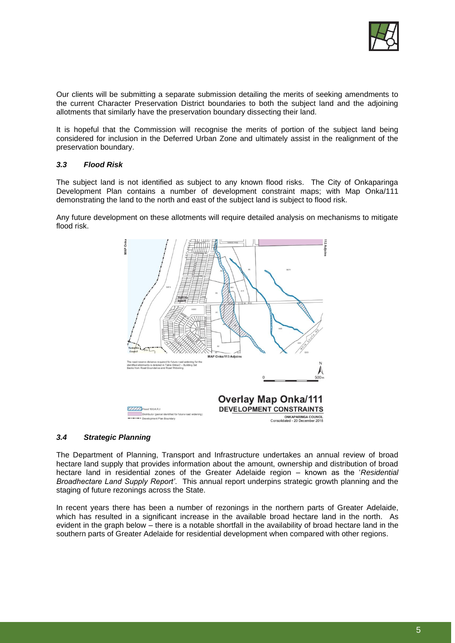

Our clients will be submitting a separate submission detailing the merits of seeking amendments to the current Character Preservation District boundaries to both the subject land and the adjoining allotments that similarly have the preservation boundary dissecting their land.

It is hopeful that the Commission will recognise the merits of portion of the subject land being considered for inclusion in the Deferred Urban Zone and ultimately assist in the realignment of the preservation boundary.

#### *3.3 Flood Risk*

The subject land is not identified as subject to any known flood risks. The City of Onkaparinga Development Plan contains a number of development constraint maps; with Map Onka/111 demonstrating the land to the north and east of the subject land is subject to flood risk.

Any future development on these allotments will require detailed analysis on mechanisms to mitigate flood risk.



#### *3.4 Strategic Planning*

The Department of Planning, Transport and Infrastructure undertakes an annual review of broad hectare land supply that provides information about the amount, ownership and distribution of broad hectare land in residential zones of the Greater Adelaide region – known as the '*Residential Broadhectare Land Supply Report'*. This annual report underpins strategic growth planning and the staging of future rezonings across the State.

In recent years there has been a number of rezonings in the northern parts of Greater Adelaide, which has resulted in a significant increase in the available broad hectare land in the north. As evident in the graph below – there is a notable shortfall in the availability of broad hectare land in the southern parts of Greater Adelaide for residential development when compared with other regions.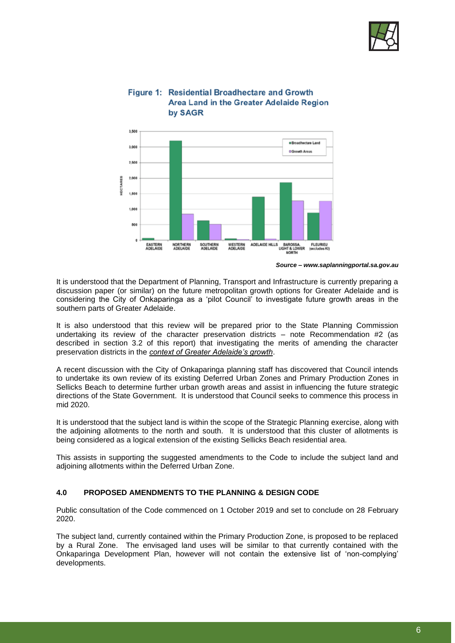

## Figure 1: Residential Broadhectare and Growth Area Land in the Greater Adelaide Region by SAGR



*Source – www.saplanningportal.sa.gov.au*

It is understood that the Department of Planning, Transport and Infrastructure is currently preparing a discussion paper (or similar) on the future metropolitan growth options for Greater Adelaide and is considering the City of Onkaparinga as a 'pilot Council' to investigate future growth areas in the southern parts of Greater Adelaide.

It is also understood that this review will be prepared prior to the State Planning Commission undertaking its review of the character preservation districts – note Recommendation #2 (as described in section 3.2 of this report) that investigating the merits of amending the character preservation districts in the *context of Greater Adelaide's growth*.

A recent discussion with the City of Onkaparinga planning staff has discovered that Council intends to undertake its own review of its existing Deferred Urban Zones and Primary Production Zones in Sellicks Beach to determine further urban growth areas and assist in influencing the future strategic directions of the State Government. It is understood that Council seeks to commence this process in mid 2020.

It is understood that the subject land is within the scope of the Strategic Planning exercise, along with the adjoining allotments to the north and south. It is understood that this cluster of allotments is being considered as a logical extension of the existing Sellicks Beach residential area.

This assists in supporting the suggested amendments to the Code to include the subject land and adjoining allotments within the Deferred Urban Zone.

## **4.0 PROPOSED AMENDMENTS TO THE PLANNING & DESIGN CODE**

Public consultation of the Code commenced on 1 October 2019 and set to conclude on 28 February 2020.

The subject land, currently contained within the Primary Production Zone, is proposed to be replaced by a Rural Zone. The envisaged land uses will be similar to that currently contained with the Onkaparinga Development Plan, however will not contain the extensive list of 'non-complying' developments.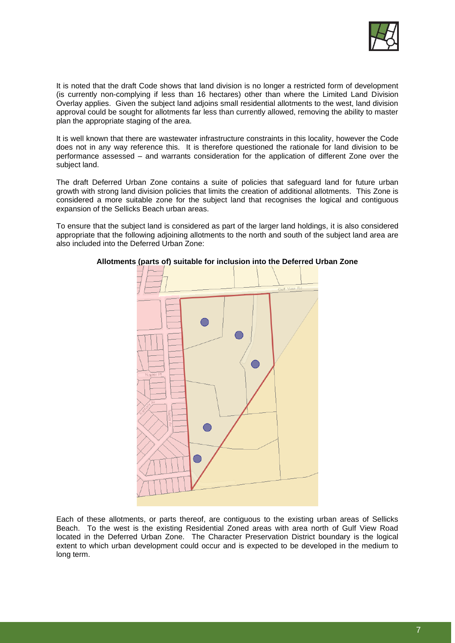

It is noted that the draft Code shows that land division is no longer a restricted form of development (is currently non-complying if less than 16 hectares) other than where the Limited Land Division Overlay applies. Given the subject land adjoins small residential allotments to the west, land division approval could be sought for allotments far less than currently allowed, removing the ability to master plan the appropriate staging of the area.

It is well known that there are wastewater infrastructure constraints in this locality, however the Code does not in any way reference this. It is therefore questioned the rationale for land division to be performance assessed – and warrants consideration for the application of different Zone over the subject land.

The draft Deferred Urban Zone contains a suite of policies that safeguard land for future urban growth with strong land division policies that limits the creation of additional allotments. This Zone is considered a more suitable zone for the subject land that recognises the logical and contiguous expansion of the Sellicks Beach urban areas.

To ensure that the subject land is considered as part of the larger land holdings, it is also considered appropriate that the following adjoining allotments to the north and south of the subject land area are also included into the Deferred Urban Zone:



#### **Allotments (parts of) suitable for inclusion into the Deferred Urban Zone**

Each of these allotments, or parts thereof, are contiguous to the existing urban areas of Sellicks Beach. To the west is the existing Residential Zoned areas with area north of Gulf View Road located in the Deferred Urban Zone. The Character Preservation District boundary is the logical extent to which urban development could occur and is expected to be developed in the medium to long term.